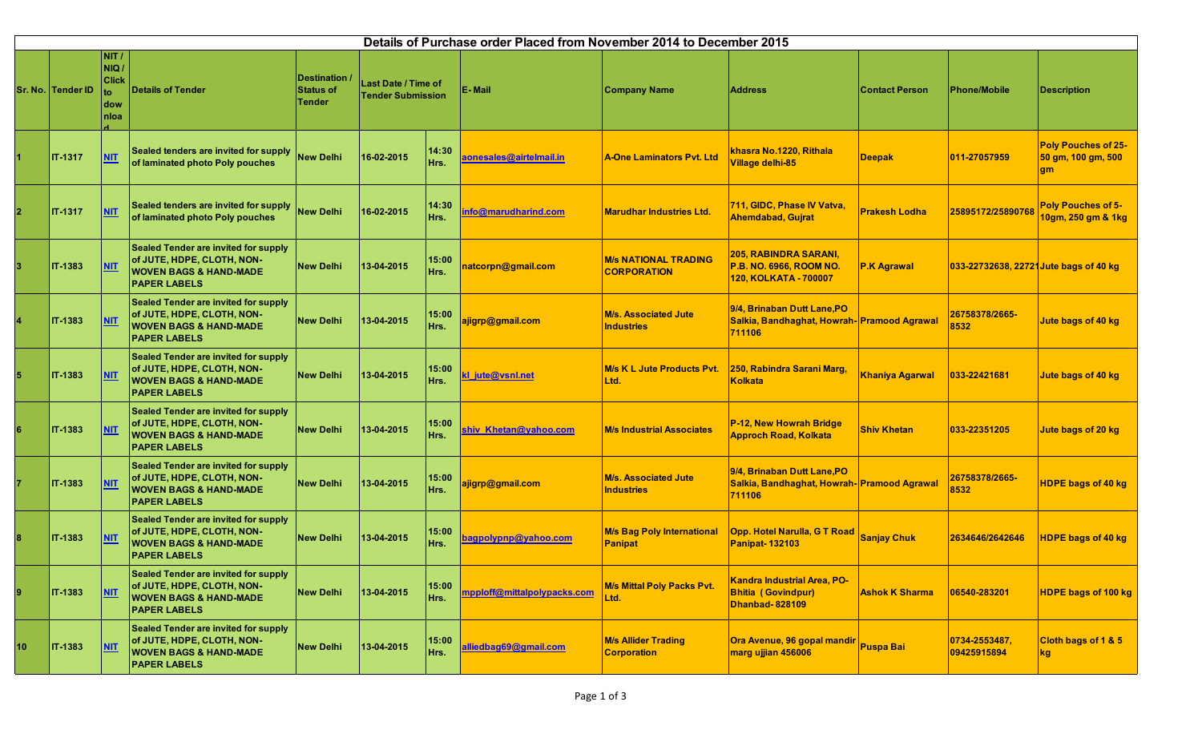| Details of Purchase order Placed from November 2014 to December 2015 |                   |                                                      |                                                                                                                                       |                                                  |                                                        |               |                             |                                                   |                                                                                      |                        |                                        |                                                               |
|----------------------------------------------------------------------|-------------------|------------------------------------------------------|---------------------------------------------------------------------------------------------------------------------------------------|--------------------------------------------------|--------------------------------------------------------|---------------|-----------------------------|---------------------------------------------------|--------------------------------------------------------------------------------------|------------------------|----------------------------------------|---------------------------------------------------------------|
|                                                                      | Sr. No. Tender ID | NIT /<br>NIQ/<br><b>Click</b><br>to<br> dow<br>Inloa | Details of Tender                                                                                                                     | <b>Destination</b><br>Status of<br><b>Tender</b> | <b>Last Date / Time of</b><br><b>Tender Submission</b> |               | E-Mail                      | <b>Company Name</b>                               | <b>Address</b>                                                                       | <b>Contact Person</b>  | <b>Phone/Mobile</b>                    | <b>Description</b>                                            |
|                                                                      | IT-1317           | M                                                    | Sealed tenders are invited for supply<br>of laminated photo Poly pouches                                                              | <b>New Delhi</b>                                 | 16-02-2015                                             | 14:30<br>Hrs. | aonesales@airtelmail.in     | <b>A-One Laminators Pvt. Ltd</b>                  | khasra No.1220, Rithala<br>Village delhi-85                                          | <b>Deepak</b>          | 011-27057959                           | <b>Poly Pouches of 25-</b><br>50 gm, 100 gm, 500<br><b>am</b> |
|                                                                      | IT-1317           | <b>NIT</b>                                           | Sealed tenders are invited for supply<br>of laminated photo Poly pouches                                                              | <b>New Delhi</b>                                 | 16-02-2015                                             | 14:30<br>Hrs. | info@marudharind.com        | <b>Marudhar Industries Ltd.</b>                   | 711, GIDC, Phase IV Vatva,<br><b>Ahemdabad, Gujrat</b>                               | <b>Prakesh Lodha</b>   | 25895172/25890768                      | <b>Poly Pouches of 5-</b><br>10gm, 250 gm & 1kg               |
|                                                                      | IT-1383           | M                                                    | Sealed Tender are invited for supply<br>of JUTE, HDPE, CLOTH, NON-<br><b>WOVEN BAGS &amp; HAND-MADE</b><br><b>PAPER LABELS</b>        | <b>New Delhi</b>                                 | 13-04-2015                                             | 15:00<br>Hrs. | natcorpn@gmail.com          | <b>M/s NATIONAL TRADING</b><br><b>CORPORATION</b> | <b>205, RABINDRA SARANI,</b><br>P.B. NO. 6966, ROOM NO.<br>120, KOLKATA - 700007     | <b>P.K Agrawal</b>     | 033-22732638, 22721 Jute bags of 40 kg |                                                               |
|                                                                      | IT-1383           | <b>NIT</b>                                           | Sealed Tender are invited for supply<br>of JUTE, HDPE, CLOTH, NON-<br><b>WOVEN BAGS &amp; HAND-MADE</b><br><b>PAPER LABELS</b>        | <b>New Delhi</b>                                 | 13-04-2015                                             | 15:00<br>Hrs. | ajigrp@gmail.com            | <b>M/s. Associated Jute</b><br><b>Industries</b>  | 9/4, Brinaban Dutt Lane, PO<br>Salkia, Bandhaghat, Howrah- Pramood Agrawal<br>711106 |                        | 26758378/2665-<br>8532                 | Jute bags of 40 kg                                            |
|                                                                      | IT-1383           | <b>NIT</b>                                           | Sealed Tender are invited for supply<br>of JUTE, HDPE, CLOTH, NON-<br><b>WOVEN BAGS &amp; HAND-MADE</b><br><b>PAPER LABELS</b>        | <b>New Delhi</b>                                 | 13-04-2015                                             | 15:00<br>Hrs. | kl_jute@vsnl.net            | <b>M/s K L Jute Products Pvt.</b><br>Ltd.         | 250, Rabindra Sarani Marg,<br><b>Kolkata</b>                                         | <b>Khaniya Agarwal</b> | 033-22421681                           | Jute bags of 40 kg                                            |
|                                                                      | IT-1383           | <u> NIT</u>                                          | Sealed Tender are invited for supply<br>of JUTE, HDPE, CLOTH, NON-<br><b>WOVEN BAGS &amp; HAND-MADE</b><br><b>PAPER LABELS</b>        | <b>New Delhi</b>                                 | 13-04-2015                                             | 15:00<br>Hrs. | shiv Khetan@yahoo.com       | <b>M/s Industrial Associates</b>                  | P-12, New Howrah Bridge<br><b>Approch Road, Kolkata</b>                              | <b>Shiv Khetan</b>     | 033-22351205                           | Jute bags of 20 kg                                            |
|                                                                      | IT-1383           | <b>NIT</b>                                           | Sealed Tender are invited for supply<br>of JUTE, HDPE, CLOTH, NON-<br><b>WOVEN BAGS &amp; HAND-MADE</b><br><b>PAPER LABELS</b>        | <b>New Delhi</b>                                 | 13-04-2015                                             | 15:00<br>Hrs. | ajigrp@gmail.com            | <b>M/s. Associated Jute</b><br><b>Industries</b>  | 9/4, Brinaban Dutt Lane, PO<br>Salkia, Bandhaghat, Howrah- Pramood Agrawal<br>711106 |                        | 26758378/2665-<br>8532                 | <b>HDPE bags of 40 kg</b>                                     |
|                                                                      | IT-1383           | NIT                                                  | Sealed Tender are invited for supply<br>of JUTE, HDPE, CLOTH, NON-<br><b>WOVEN BAGS &amp; HAND-MADE</b><br><b>PAPER LABELS</b>        | <b>New Delhi</b>                                 | 13-04-2015                                             | 15:00<br>Hrs. | bagpolypnp@yahoo.com        | <b>M/s Bag Poly International</b><br>Panipat      | <b>Opp. Hotel Narulla, G T Road</b><br>Panipat-132103                                | <b>Sanjay Chuk</b>     | 2634646/2642646                        | <b>HDPE bags of 40 kg</b>                                     |
| 9                                                                    | IT-1383           | NIT                                                  | Sealed Tender are invited for supply<br>of JUTE, HDPE, CLOTH, NON-<br><b>WOVEN BAGS &amp; HAND-MADE</b><br><b>PAPER LABELS</b>        | <b>New Delhi</b>                                 | 13-04-2015                                             | 15:00<br>Hrs. | mpploff@mittalpolypacks.com | <b>M/s Mittal Poly Packs Pvt.</b><br>Ltd.         | Kandra Industrial Area, PO-<br><b>Bhitia (Govindpur)</b><br>Dhanbad-828109           | <b>Ashok K Sharma</b>  | 06540-283201                           | <b>HDPE bags of 100 kg</b>                                    |
| 10                                                                   | <b>IT-1383</b>    | M                                                    | <b>Sealed Tender are invited for supply</b><br>of JUTE, HDPE, CLOTH, NON-<br><b>WOVEN BAGS &amp; HAND-MADE</b><br><b>PAPER LABELS</b> | <b>New Delhi</b>                                 | 13-04-2015                                             | 15:00<br>Hrs. | alliedbag69@gmail.com       | <b>M/s Allider Trading</b><br><b>Corporation</b>  | Ora Avenue, 96 gopal mandir<br>marg ujjian 456006                                    | Puspa Bai              | 0734-2553487,<br>09425915894           | Cloth bags of 1 & 5<br>kg                                     |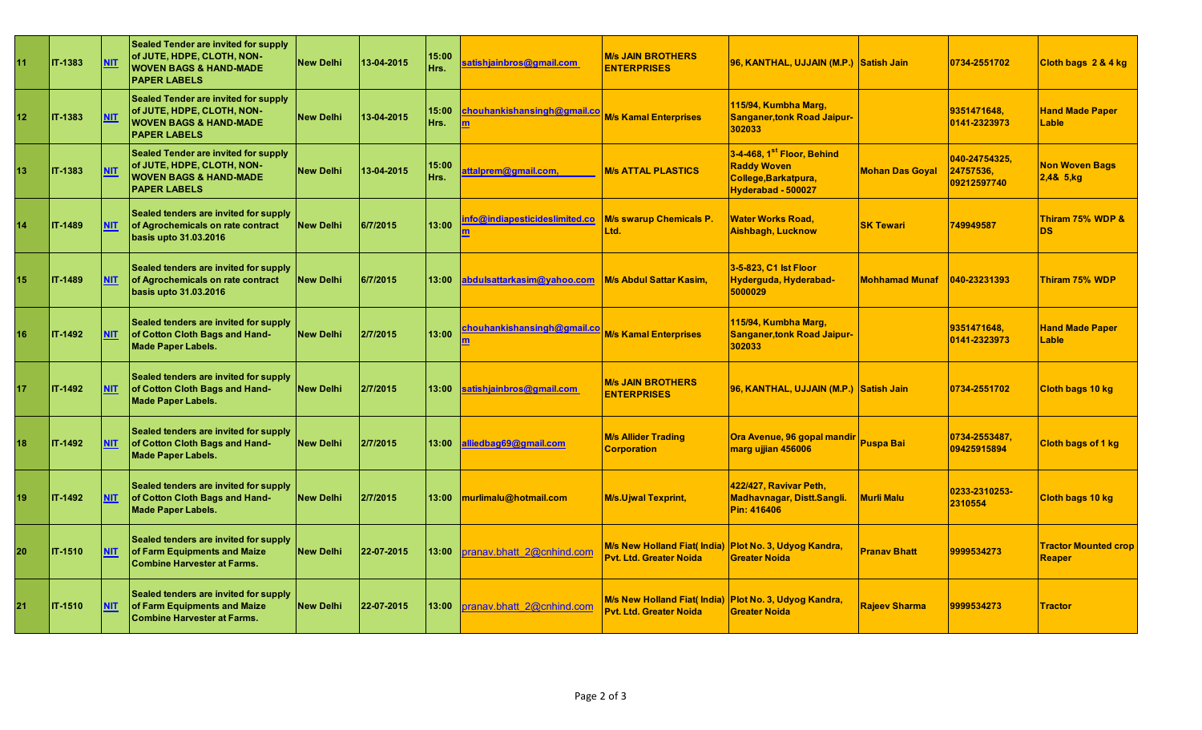| 11 | IT-1383        | <b>NIT</b> | <b>Sealed Tender are invited for supply</b><br>of JUTE, HDPE, CLOTH, NON-<br><b>WOVEN BAGS &amp; HAND-MADE</b><br><b>PAPER LABELS</b> | <b>New Delhi</b> | 13-04-2015 | 15:00<br>Hrs. | satishjainbros@gmail.com           | <b>M/s JAIN BROTHERS</b><br><b>ENTERPRISES</b>                                          | 96, KANTHAL, UJJAIN (M.P.) Satish Jain                                                                     |                        | 0734-2551702                              | Cloth bags 2 & 4 kg                   |
|----|----------------|------------|---------------------------------------------------------------------------------------------------------------------------------------|------------------|------------|---------------|------------------------------------|-----------------------------------------------------------------------------------------|------------------------------------------------------------------------------------------------------------|------------------------|-------------------------------------------|---------------------------------------|
| 12 | <b>IT-1383</b> | <b>NIT</b> | <b>Sealed Tender are invited for supply</b><br>of JUTE, HDPE, CLOTH, NON-<br><b>WOVEN BAGS &amp; HAND-MADE</b><br><b>PAPER LABELS</b> | <b>New Delhi</b> | 13-04-2015 | 15:00<br>Hrs. | chouhankishansingh@gmail.co<br>m   | <b>M/s Kamal Enterprises</b>                                                            | 115/94, Kumbha Marg,<br><b>Sanganer,tonk Road Jaipur-</b><br>302033                                        |                        | 9351471648.<br>0141-2323973               | <b>Hand Made Paper</b><br>Lable       |
| 13 | IT-1383        | <b>NIT</b> | <b>Sealed Tender are invited for supply</b><br>of JUTE, HDPE, CLOTH, NON-<br><b>WOVEN BAGS &amp; HAND-MADE</b><br><b>PAPER LABELS</b> | <b>New Delhi</b> | 13-04-2015 | 15:00<br>Hrs. | attalprem@gmail.com.               | <b>M/s ATTAL PLASTICS</b>                                                               | 3-4-468, 1 <sup>st</sup> Floor, Behind<br><b>Raddy Woven</b><br>College, Barkatpura,<br>Hyderabad - 500027 | <b>Mohan Das Goyal</b> | 040-24754325.<br>24757536.<br>09212597740 | <b>Non Woven Bags</b><br>2,48,5,kg    |
| 14 | <b>IT-1489</b> | <b>NIT</b> | Sealed tenders are invited for supply<br>of Agrochemicals on rate contract<br>basis upto 31.03.2016                                   | <b>New Delhi</b> | 6/7/2015   | 13:00         | nfo@indiapesticideslimited.co      | <b>M/s swarup Chemicals P.</b><br>Ltd.                                                  | <b>Water Works Road,</b><br><b>Aishbagh, Lucknow</b>                                                       | <b>SK Tewari</b>       | 749949587                                 | Thiram 75% WDP &<br><b>DS</b>         |
| 15 | IT-1489        | <b>NIT</b> | Sealed tenders are invited for supply<br>of Agrochemicals on rate contract<br>basis upto 31.03.2016                                   | <b>New Delhi</b> | 6/7/2015   | 13:00         | abdulsattarkasim@yahoo.com         | <b>M/s Abdul Sattar Kasim,</b>                                                          | 3-5-823, C1 Ist Floor<br>Hyderguda, Hyderabad-<br>5000029                                                  | <b>Mohhamad Munaf</b>  | 040-23231393                              | Thiram 75% WDP                        |
| 16 | IT-1492        | <b>NIT</b> | Sealed tenders are invited for supply<br>of Cotton Cloth Bags and Hand-<br><b>Made Paper Labels.</b>                                  | <b>New Delhi</b> | 2/7/2015   | 13:00         | <u>chouhankishansingh@gmail.co</u> | <b>M/s Kamal Enterprises</b>                                                            | 115/94, Kumbha Marg,<br><b>Sanganer,tonk Road Jaipur-</b><br>302033                                        |                        | 9351471648,<br>0141-2323973               | <b>Hand Made Paper</b><br>Lable       |
| 17 | IT-1492        | NIT        | Sealed tenders are invited for supply<br>of Cotton Cloth Bags and Hand-<br><b>Made Paper Labels.</b>                                  | <b>New Delhi</b> | 2/7/2015   | 13:00         | satishjainbros@gmail.com           | <b>M/s JAIN BROTHERS</b><br><b>ENTERPRISES</b>                                          | 96, KANTHAL, UJJAIN (M.P.) Satish Jain                                                                     |                        | 0734-2551702                              | Cloth bags 10 kg                      |
| 18 | IT-1492        | <b>NIT</b> | Sealed tenders are invited for supply<br>of Cotton Cloth Bags and Hand-<br><b>Made Paper Labels.</b>                                  | <b>New Delhi</b> | 2/7/2015   | 13:00         | alliedbag69@gmail.com              | <b>M/s Allider Trading</b><br><b>Corporation</b>                                        | Ora Avenue, 96 gopal mandir<br>marg ujjian 456006                                                          | <b>Puspa Bai</b>       | 0734-2553487,<br>09425915894              | <b>Cloth bags of 1 kg</b>             |
| 19 | <b>IT-1492</b> | <b>NIT</b> | Sealed tenders are invited for supply<br>of Cotton Cloth Bags and Hand-<br><b>Made Paper Labels.</b>                                  | <b>New Delhi</b> | 2/7/2015   | 13:00         | murlimalu@hotmail.com              | <b>M/s.Ujwal Texprint,</b>                                                              | 422/427, Ravivar Peth,<br>Madhavnagar, Distt.Sangli.<br>Pin: 416406                                        | <b>Murli Malu</b>      | 0233-2310253-<br>2310554                  | Cloth bags 10 kg                      |
| 20 | IT-1510        | <b>NIT</b> | Sealed tenders are invited for supply<br>of Farm Equipments and Maize<br><b>Combine Harvester at Farms.</b>                           | <b>New Delhi</b> | 22-07-2015 | 13:00         | pranav.bhatt 2@cnhind.com          | <b>M/s New Holland Fiat(India)</b><br><b>Pvt. Ltd. Greater Noida</b>                    | <b>Plot No. 3, Udyog Kandra,</b><br><b>Greater Noida</b>                                                   | <b>Pranav Bhatt</b>    | 9999534273                                | <b>Tractor Mounted crop</b><br>Reaper |
| 21 | <b>IT-1510</b> | <b>NIT</b> | Sealed tenders are invited for supply<br>of Farm Equipments and Maize<br><b>Combine Harvester at Farms.</b>                           | <b>New Delhi</b> | 22-07-2015 | 13:00         | pranav.bhatt 2@cnhind.com          | M/s New Holland Fiat(India) Plot No. 3, Udyog Kandra,<br><b>Pvt. Ltd. Greater Noida</b> | <b>Greater Noida</b>                                                                                       | <b>Raieev Sharma</b>   | 9999534273                                | <b>Tractor</b>                        |